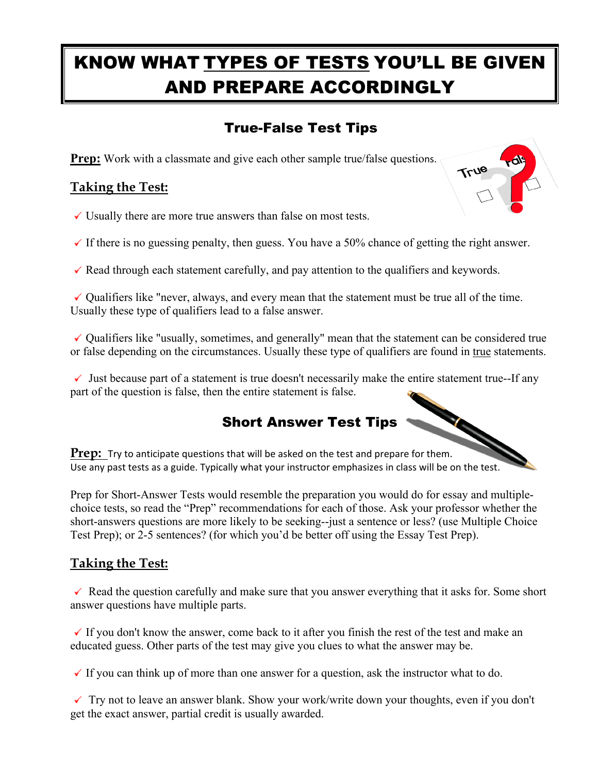# KNOW WHAT TYPES OF TESTS YOU'LL BE GIVEN AND PREPARE ACCORDINGLY

# True-False Test Tips

**Prep:** Work with a classmate and give each other sample true/false questions.

### **Taking the Test:**



- $\checkmark$  Usually there are more true answers than false on most tests.
- $\checkmark$  If there is no guessing penalty, then guess. You have a 50% chance of getting the right answer.
- $\checkmark$  Read through each statement carefully, and pay attention to the qualifiers and keywords.

 $\checkmark$  Qualifiers like "never, always, and every mean that the statement must be true all of the time. Usually these type of qualifiers lead to a false answer.

 $\checkmark$  Qualifiers like "usually, sometimes, and generally" mean that the statement can be considered true or false depending on the circumstances. Usually these type of qualifiers are found in true statements.

 $\checkmark$  Just because part of a statement is true doesn't necessarily make the entire statement true--If any part of the question is false, then the entire statement is false.

## Short Answer Test Tips

**Prep:** Try to anticipate questions that will be asked on the test and prepare for them. Use any past tests as a guide. Typically what your instructor emphasizes in class will be on the test.

Prep for Short-Answer Tests would resemble the preparation you would do for essay and multiplechoice tests, so read the "Prep" recommendations for each of those. Ask your professor whether the short-answers questions are more likely to be seeking--just a sentence or less? (use Multiple Choice Test Prep); or 2-5 sentences? (for which you'd be better off using the Essay Test Prep).

#### **Taking the Test:**

 $\checkmark$  Read the question carefully and make sure that you answer everything that it asks for. Some short answer questions have multiple parts.

 $\checkmark$  If you don't know the answer, come back to it after you finish the rest of the test and make an educated guess. Other parts of the test may give you clues to what the answer may be.

 $\checkmark$  If you can think up of more than one answer for a question, ask the instructor what to do.

 $\checkmark$  Try not to leave an answer blank. Show your work/write down your thoughts, even if you don't get the exact answer, partial credit is usually awarded.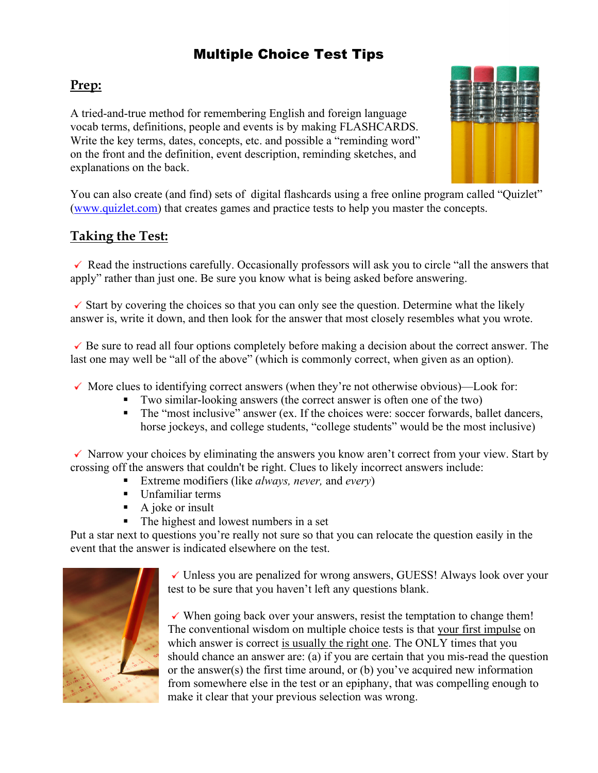## Multiple Choice Test Tips

### **Prep:**

A tried-and-true method for remembering English and foreign language vocab terms, definitions, people and events is by making FLASHCARDS. Write the key terms, dates, concepts, etc. and possible a "reminding word" on the front and the definition, event description, reminding sketches, and explanations on the back.



You can also create (and find) sets of digital flashcards using a free online program called "Quizlet" [\(www.quizlet.com\)](http://www.quizlet.com/) that creates games and practice tests to help you master the concepts.

#### **Taking the Test:**

 $\checkmark$  Read the instructions carefully. Occasionally professors will ask you to circle "all the answers that apply" rather than just one. Be sure you know what is being asked before answering.

 $\checkmark$  Start by covering the choices so that you can only see the question. Determine what the likely answer is, write it down, and then look for the answer that most closely resembles what you wrote.

 $\checkmark$  Be sure to read all four options completely before making a decision about the correct answer. The last one may well be "all of the above" (which is commonly correct, when given as an option).

- $\checkmark$  More clues to identifying correct answers (when they're not otherwise obvious)—Look for:
	- Two similar-looking answers (the correct answer is often one of the two)
	- The "most inclusive" answer (ex. If the choices were: soccer forwards, ballet dancers, horse jockeys, and college students, "college students" would be the most inclusive)

 $\checkmark$  Narrow your choices by eliminating the answers you know aren't correct from your view. Start by crossing off the answers that couldn't be right. Clues to likely incorrect answers include:

- Extreme modifiers (like *always, never,* and *every*)
- Unfamiliar terms
- $\blacksquare$  A joke or insult
- The highest and lowest numbers in a set

Put a star next to questions you're really not sure so that you can relocate the question easily in the event that the answer is indicated elsewhere on the test.



 $\checkmark$  Unless you are penalized for wrong answers, GUESS! Always look over your test to be sure that you haven't left any questions blank.

 $\checkmark$  When going back over your answers, resist the temptation to change them! The conventional wisdom on multiple choice tests is that your first impulse on which answer is correct is usually the right one. The ONLY times that you should chance an answer are: (a) if you are certain that you mis-read the question or the answer(s) the first time around, or (b) you've acquired new information from somewhere else in the test or an epiphany, that was compelling enough to make it clear that your previous selection was wrong.